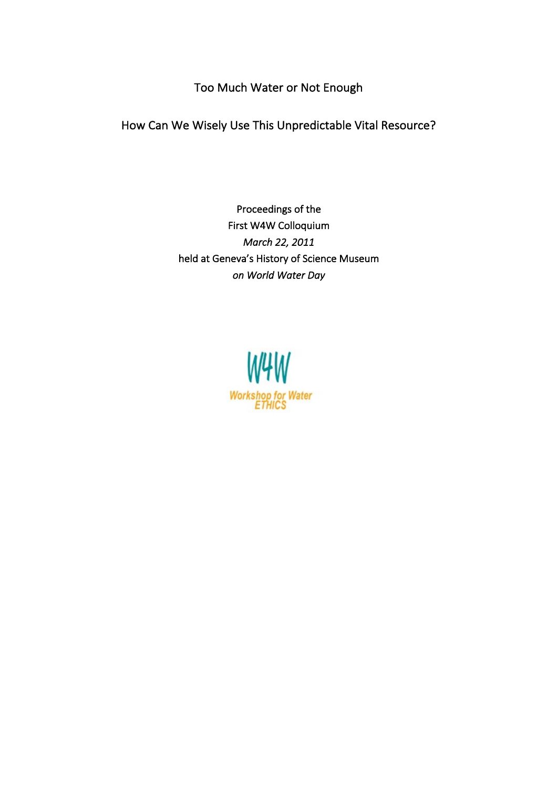Too Much Water or Not Enough

How Can We Wisely Use This Unpredictable Vital Resource?

Proceedings of the First W4W Colloquium *March 22, 2011* held at Geneva's History of Science Museum *on World Water Day* 

> W4W Workshop for Water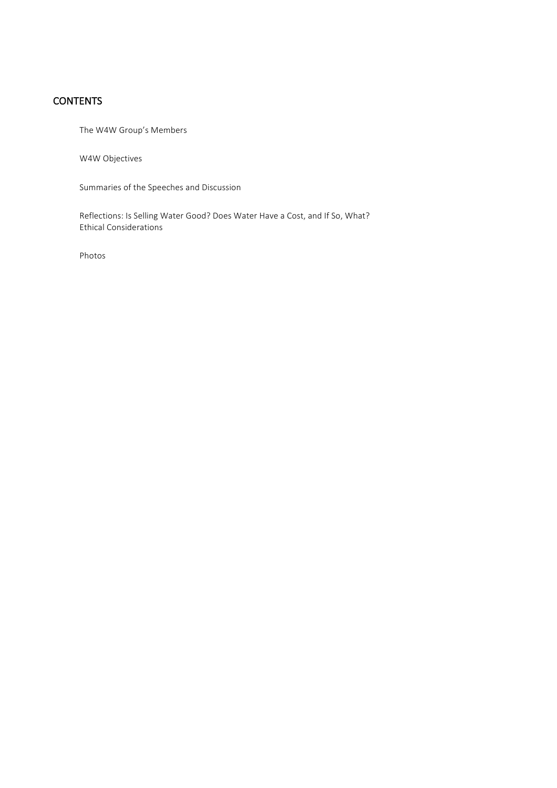# **CONTENTS**

The W4W Group's Members

W4W Objectives

Summaries of the Speeches and Discussion

Reflections: Is Selling Water Good? Does Water Have a Cost, and If So, What? Ethical Considerations

Photos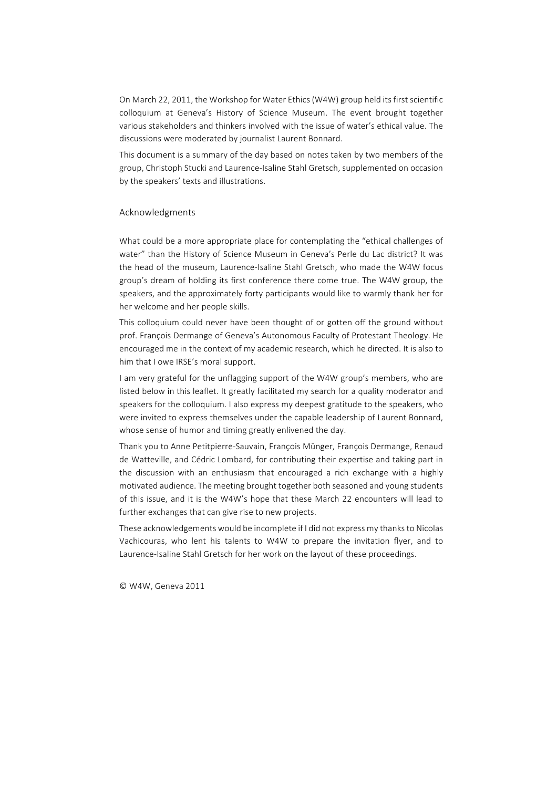On March 22, 2011, the Workshop for Water Ethics (W4W) group held its first scientific colloquium at Geneva's History of Science Museum. The event brought together various stakeholders and thinkers involved with the issue of water's ethical value. The discussions were moderated by journalist Laurent Bonnard.

This document is a summary of the day based on notes taken by two members of the group, Christoph Stucki and Laurence-Isaline Stahl Gretsch, supplemented on occasion by the speakers' texts and illustrations.

#### Acknowledgments

What could be a more appropriate place for contemplating the "ethical challenges of water" than the History of Science Museum in Geneva's Perle du Lac district? It was the head of the museum, Laurence-Isaline Stahl Gretsch, who made the W4W focus group's dream of holding its first conference there come true. The W4W group, the speakers, and the approximately forty participants would like to warmly thank her for her welcome and her people skills.

This colloquium could never have been thought of or gotten off the ground without prof. François Dermange of Geneva's Autonomous Faculty of Protestant Theology. He encouraged me in the context of my academic research, which he directed. It is also to him that I owe IRSE's moral support.

I am very grateful for the unflagging support of the W4W group's members, who are listed below in this leaflet. It greatly facilitated my search for a quality moderator and speakers for the colloquium. I also express my deepest gratitude to the speakers, who were invited to express themselves under the capable leadership of Laurent Bonnard, whose sense of humor and timing greatly enlivened the day.

Thank you to Anne Petitpierre-Sauvain, François Münger, François Dermange, Renaud de Watteville, and Cédric Lombard, for contributing their expertise and taking part in the discussion with an enthusiasm that encouraged a rich exchange with a highly motivated audience. The meeting brought together both seasoned and young students of this issue, and it is the W4W's hope that these March 22 encounters will lead to further exchanges that can give rise to new projects.

These acknowledgements would be incomplete if I did not express my thanks to Nicolas Vachicouras, who lent his talents to W4W to prepare the invitation flyer, and to Laurence-Isaline Stahl Gretsch for her work on the layout of these proceedings.

© W4W, Geneva 2011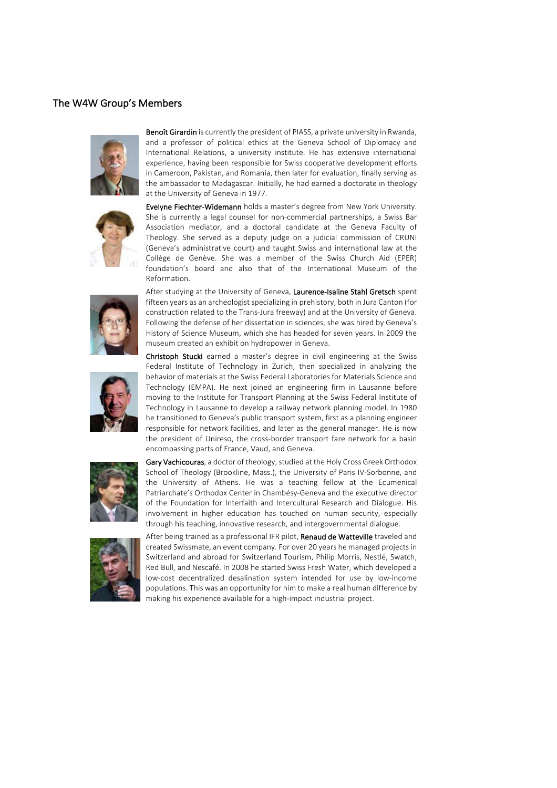## The W4W Group's Members





Reformation.

in Cameroon, Pakistan, and Romania, then later for evaluation, finally serving as the ambassador to Madagascar. Initially, he had earned a doctorate in theology at the University of Geneva in 1977. Evelyne Fiechter-Widemann holds a master's degree from New York University. She is currently a legal counsel for non-commercial partnerships, a Swiss Bar Association mediator, and a doctoral candidate at the Geneva Faculty of Theology. She served as a deputy judge on a judicial commission of CRUNI

(Geneva's administrative court) and taught Swiss and international law at the Collège de Genève. She was a member of the Swiss Church Aid (EPER) foundation's board and also that of the International Museum of the

Benoît Girardin is currently the president of PIASS, a private university in Rwanda. and a professor of political ethics at the Geneva School of Diplomacy and International Relations, a university institute. He has extensive international experience, having been responsible for Swiss cooperative development efforts



fifteen years as an archeologist specializing in prehistory, both in Jura Canton (for construction related to the Trans-Jura freeway) and at the University of Geneva. Following the defense of her dissertation in sciences, she was hired by Geneva's History of Science Museum, which she has headed for seven years. In 2009 the museum created an exhibit on hydropower in Geneva. Christoph Stucki earned a master's degree in civil engineering at the Swiss

After studying at the University of Geneva, Laurence-Isaline Stahl Gretsch spent

Federal Institute of Technology in Zurich, then specialized in analyzing the behavior of materials at the Swiss Federal Laboratories for Materials Science and Technology (EMPA). He next joined an engineering firm in Lausanne before moving to the Institute for Transport Planning at the Swiss Federal Institute of Technology in Lausanne to develop a railway network planning model. In 1980 he transitioned to Geneva's public transport system, first as a planning engineer responsible for network facilities, and later as the general manager. He is now the president of Unireso, the cross-border transport fare network for a basin encompassing parts of France, Vaud, and Geneva.



Gary Vachicouras, a doctor of theology, studied at the Holy Cross Greek Orthodox School of Theology (Brookline, Mass.), the University of Paris IV-Sorbonne, and the University of Athens. He was a teaching fellow at the Ecumenical Patriarchate's Orthodox Center in Chambésy-Geneva and the executive director of the Foundation for Interfaith and Intercultural Research and Dialogue. His involvement in higher education has touched on human security, especially through his teaching, innovative research, and intergovernmental dialogue.



After being trained as a professional IFR pilot, Renaud de Watteville traveled and created Swissmate, an event company. For over 20 years he managed projects in Switzerland and abroad for Switzerland Tourism, Philip Morris, Nestlé, Swatch, Red Bull, and Nescafé. In 2008 he started Swiss Fresh Water, which developed a low-cost decentralized desalination system intended for use by low-income populations. This was an opportunity for him to make a real human difference by making his experience available for a high-impact industrial project.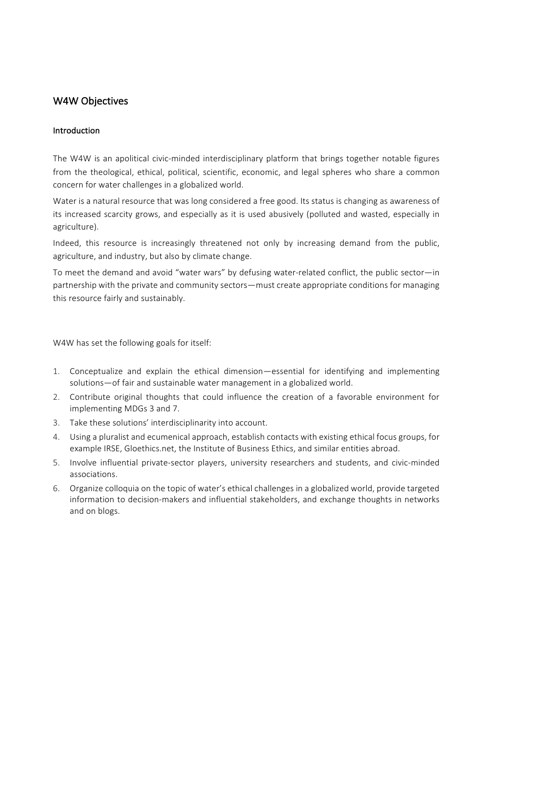## W4W Objectives

#### Introduction

The W4W is an apolitical civic-minded interdisciplinary platform that brings together notable figures from the theological, ethical, political, scientific, economic, and legal spheres who share a common concern for water challenges in a globalized world.

Water is a natural resource that was long considered a free good. Its status is changing as awareness of its increased scarcity grows, and especially as it is used abusively (polluted and wasted, especially in agriculture).

Indeed, this resource is increasingly threatened not only by increasing demand from the public, agriculture, and industry, but also by climate change.

To meet the demand and avoid "water wars" by defusing water-related conflict, the public sector-in partnership with the private and community sectors—must create appropriate conditions for managing this resource fairly and sustainably.

W4W has set the following goals for itself:

- 1. Conceptualize and explain the ethical dimension—essential for identifying and implementing solutions-of fair and sustainable water management in a globalized world.
- 2. Contribute original thoughts that could influence the creation of a favorable environment for implementing MDGs 3 and 7.
- 3. Take these solutions' interdisciplinarity into account.
- 4. Using a pluralist and ecumenical approach, establish contacts with existing ethical focus groups, for example IRSE, Gloethics.net, the Institute of Business Ethics, and similar entities abroad.
- 5. Involve influential private-sector players, university researchers and students, and civic-minded associations.
- 6. Organize colloquia on the topic of water's ethical challenges in a globalized world, provide targeted information to decision-makers and influential stakeholders, and exchange thoughts in networks and on blogs.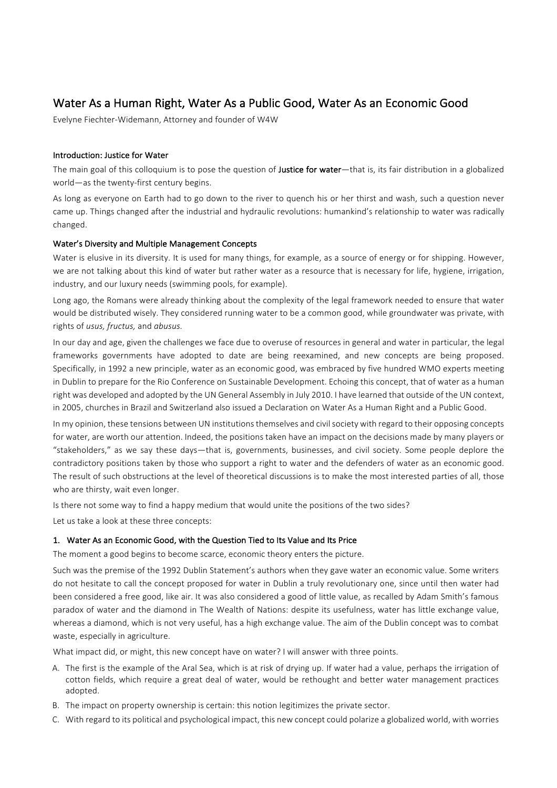# Water As a Human Right, Water As a Public Good, Water As an Economic Good

Evelyne Fiechter-Widemann, Attorney and founder of W4W

#### Introduction: Justice for Water

The main goal of this colloquium is to pose the question of **Justice for water**—that is, its fair distribution in a globalized world-as the twenty-first century begins.

As long as everyone on Earth had to go down to the river to quench his or her thirst and wash, such a question never came up. Things changed after the industrial and hydraulic revolutions: humankind's relationship to water was radically changed.

#### Water's Diversity and Multiple Management Concepts

Water is elusive in its diversity. It is used for many things, for example, as a source of energy or for shipping. However, we are not talking about this kind of water but rather water as a resource that is necessary for life, hygiene, irrigation, industry, and our luxury needs (swimming pools, for example).

Long ago, the Romans were already thinking about the complexity of the legal framework needed to ensure that water would be distributed wisely. They considered running water to be a common good, while groundwater was private, with rights of *usus, fructus,* and *abusus.*

In our day and age, given the challenges we face due to overuse of resources in general and water in particular, the legal frameworks governments have adopted to date are being reexamined, and new concepts are being proposed. Specifically, in 1992 a new principle, water as an economic good, was embraced by five hundred WMO experts meeting in Dublin to prepare for the Rio Conference on Sustainable Development. Echoing this concept, that of water as a human right was developed and adopted by the UN General Assembly in July 2010. I have learned that outside of the UN context, in 2005, churches in Brazil and Switzerland also issued a Declaration on Water As a Human Right and a Public Good.

In my opinion, these tensions between UN institutions themselves and civil society with regard to their opposing concepts for water, are worth our attention. Indeed, the positions taken have an impact on the decisions made by many players or "stakeholders," as we say these days—that is, governments, businesses, and civil society. Some people deplore the contradictory positions taken by those who support a right to water and the defenders of water as an economic good. The result of such obstructions at the level of theoretical discussions is to make the most interested parties of all, those who are thirsty, wait even longer.

Is there not some way to find a happy medium that would unite the positions of the two sides?

Let us take a look at these three concepts:

#### 1. Water As an Economic Good, with the Question Tied to Its Value and Its Price

The moment a good begins to become scarce, economic theory enters the picture.

Such was the premise of the 1992 Dublin Statement's authors when they gave water an economic value. Some writers do not hesitate to call the concept proposed for water in Dublin a truly revolutionary one, since until then water had been considered a free good, like air. It was also considered a good of little value, as recalled by Adam Smith's famous paradox of water and the diamond in The Wealth of Nations: despite its usefulness, water has little exchange value, whereas a diamond, which is not very useful, has a high exchange value. The aim of the Dublin concept was to combat waste, especially in agriculture.

What impact did, or might, this new concept have on water? I will answer with three points.

- A. The first is the example of the Aral Sea, which is at risk of drying up. If water had a value, perhaps the irrigation of cotton fields, which require a great deal of water, would be rethought and better water management practices adopted.
- B. The impact on property ownership is certain: this notion legitimizes the private sector.
- C. With regard to its political and psychological impact, this new concept could polarize a globalized world, with worries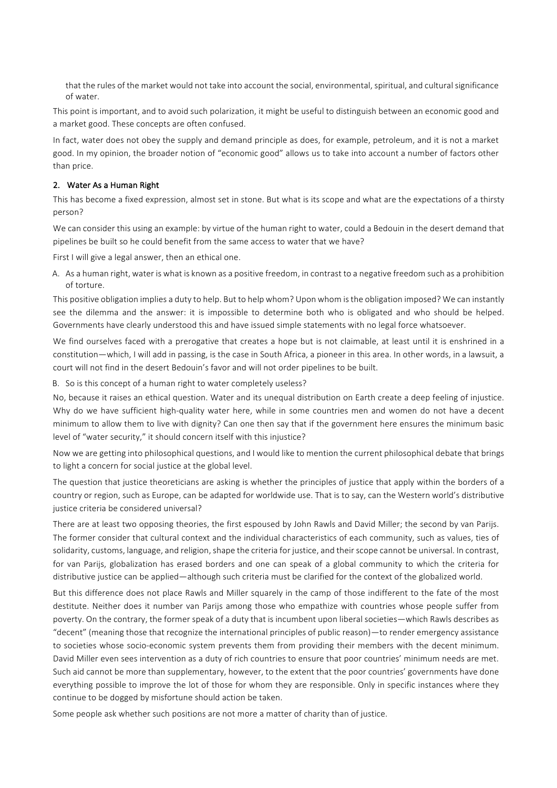that the rules of the market would not take into account the social, environmental, spiritual, and cultural significance of water.

This point is important, and to avoid such polarization, it might be useful to distinguish between an economic good and a market good. These concepts are often confused.

In fact, water does not obey the supply and demand principle as does, for example, petroleum, and it is not a market good. In my opinion, the broader notion of "economic good" allows us to take into account a number of factors other than price.

#### 2. Water As a Human Right

This has become a fixed expression, almost set in stone. But what is its scope and what are the expectations of a thirsty person?

We can consider this using an example: by virtue of the human right to water, could a Bedouin in the desert demand that pipelines be built so he could benefit from the same access to water that we have?

First I will give a legal answer, then an ethical one.

A. As a human right, water is what is known as a positive freedom, in contrast to a negative freedom such as a prohibition of torture.

This positive obligation implies a duty to help. But to help whom? Upon whom is the obligation imposed? We can instantly see the dilemma and the answer: it is impossible to determine both who is obligated and who should be helped. Governments have clearly understood this and have issued simple statements with no legal force whatsoever.

We find ourselves faced with a prerogative that creates a hope but is not claimable, at least until it is enshrined in a constitution—which, I will add in passing, is the case in South Africa, a pioneer in this area. In other words, in a lawsuit, a court will not find in the desert Bedouin's favor and will not order pipelines to be built.

B. So is this concept of a human right to water completely useless?

No, because it raises an ethical question. Water and its unequal distribution on Earth create a deep feeling of injustice. Why do we have sufficient high-quality water here, while in some countries men and women do not have a decent minimum to allow them to live with dignity? Can one then say that if the government here ensures the minimum basic level of "water security," it should concern itself with this injustice?

Now we are getting into philosophical questions, and I would like to mention the current philosophical debate that brings to light a concern for social justice at the global level.

The question that justice theoreticians are asking is whether the principles of justice that apply within the borders of a country or region, such as Europe, can be adapted for worldwide use. That is to say, can the Western world's distributive justice criteria be considered universal?

There are at least two opposing theories, the first espoused by John Rawls and David Miller; the second by van Parijs. The former consider that cultural context and the individual characteristics of each community, such as values, ties of solidarity, customs, language, and religion, shape the criteria for justice, and their scope cannot be universal. In contrast, for van Parijs, globalization has erased borders and one can speak of a global community to which the criteria for distributive justice can be applied—although such criteria must be clarified for the context of the globalized world.

But this difference does not place Rawls and Miller squarely in the camp of those indifferent to the fate of the most destitute. Neither does it number van Parijs among those who empathize with countries whose people suffer from poverty. On the contrary, the former speak of a duty that is incumbent upon liberal societies—which Rawls describes as "decent" (meaning those that recognize the international principles of public reason)—to render emergency assistance to societies whose socio-economic system prevents them from providing their members with the decent minimum. David Miller even sees intervention as a duty of rich countries to ensure that poor countries' minimum needs are met. Such aid cannot be more than supplementary, however, to the extent that the poor countries' governments have done everything possible to improve the lot of those for whom they are responsible. Only in specific instances where they continue to be dogged by misfortune should action be taken.

Some people ask whether such positions are not more a matter of charity than of justice.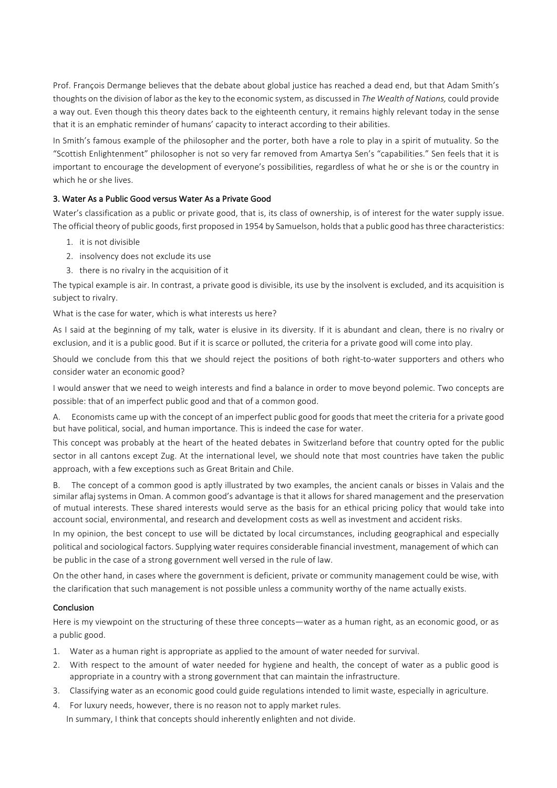Prof. François Dermange believes that the debate about global justice has reached a dead end, but that Adam Smith's thoughts on the division of labor as the key to the economic system, as discussed in *The Wealth of Nations*, could provide a way out. Even though this theory dates back to the eighteenth century, it remains highly relevant today in the sense that it is an emphatic reminder of humans' capacity to interact according to their abilities.

In Smith's famous example of the philosopher and the porter, both have a role to play in a spirit of mutuality. So the "Scottish Enlightenment" philosopher is not so very far removed from Amartya Sen's "capabilities." Sen feels that it is important to encourage the development of everyone's possibilities, regardless of what he or she is or the country in which he or she lives.

## 3. Water As a Public Good versus Water As a Private Good

Water's classification as a public or private good, that is, its class of ownership, is of interest for the water supply issue. The official theory of public goods, first proposed in 1954 by Samuelson, holds that a public good has three characteristics:

- 1. it is not divisible
- 2. insolvency does not exclude its use
- 3. there is no rivalry in the acquisition of it

The typical example is air. In contrast, a private good is divisible, its use by the insolvent is excluded, and its acquisition is subject to rivalry.

What is the case for water, which is what interests us here?

As I said at the beginning of my talk, water is elusive in its diversity. If it is abundant and clean, there is no rivalry or exclusion, and it is a public good. But if it is scarce or polluted, the criteria for a private good will come into play.

Should we conclude from this that we should reject the positions of both right-to-water supporters and others who consider water an economic good?

I would answer that we need to weigh interests and find a balance in order to move beyond polemic. Two concepts are possible: that of an imperfect public good and that of a common good.

Economists came up with the concept of an imperfect public good for goods that meet the criteria for a private good but have political, social, and human importance. This is indeed the case for water.

This concept was probably at the heart of the heated debates in Switzerland before that country opted for the public sector in all cantons except Zug. At the international level, we should note that most countries have taken the public approach, with a few exceptions such as Great Britain and Chile.

B. The concept of a common good is aptly illustrated by two examples, the ancient canals or bisses in Valais and the similar aflaj systems in Oman. A common good's advantage is that it allows for shared management and the preservation of mutual interests. These shared interests would serve as the basis for an ethical pricing policy that would take into account social, environmental, and research and development costs as well as investment and accident risks.

In my opinion, the best concept to use will be dictated by local circumstances, including geographical and especially political and sociological factors. Supplying water requires considerable financial investment, management of which can be public in the case of a strong government well versed in the rule of law.

On the other hand, in cases where the government is deficient, private or community management could be wise, with the clarification that such management is not possible unless a community worthy of the name actually exists.

#### Conclusion

Here is my viewpoint on the structuring of these three concepts—water as a human right, as an economic good, or as a public good.

- 1. Water as a human right is appropriate as applied to the amount of water needed for survival.
- 2. With respect to the amount of water needed for hygiene and health, the concept of water as a public good is appropriate in a country with a strong government that can maintain the infrastructure.
- 3. Classifying water as an economic good could guide regulations intended to limit waste, especially in agriculture.
- 4. For luxury needs, however, there is no reason not to apply market rules. In summary, I think that concepts should inherently enlighten and not divide.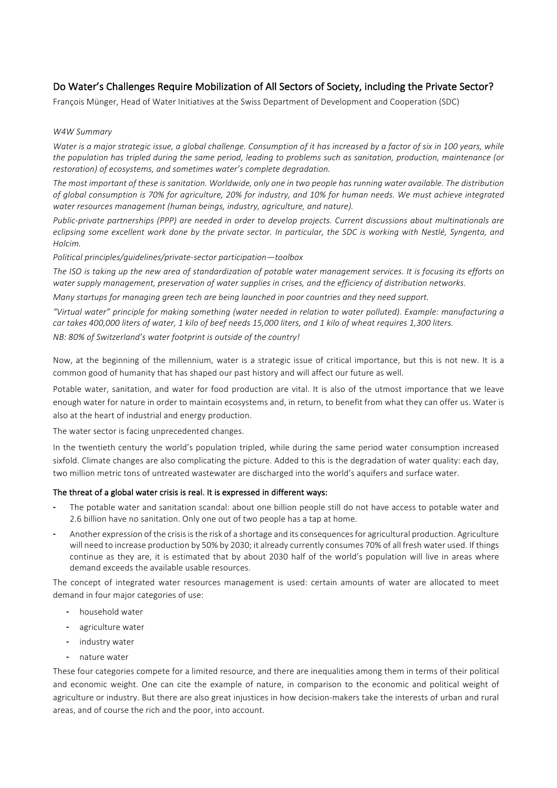## Do Water's Challenges Require Mobilization of All Sectors of Society, including the Private Sector?

François Münger, Head of Water Initiatives at the Swiss Department of Development and Cooperation (SDC)

#### *W4W Summary*

*Water* is a major strategic issue, a global challenge. Consumption of it has increased by a factor of six in 100 years, while the population has tripled during the same period, leading to problems such as sanitation, production, maintenance (or *restoration)* of ecosystems, and sometimes water's complete degradation.

The most important of these is sanitation. Worldwide, only one in two people has running water available. The distribution of global consumption is 70% for agriculture, 20% for industry, and 10% for human needs. We must achieve integrated *water resources management (human beings, industry, agriculture, and nature).* 

*Public-private partnerships* (PPP) are needed in order to develop projects. Current discussions about multinationals are *eclipsing* some excellent work done by the private sector. In particular, the SDC is working with Nestlé, Syngenta, and *Holcim.*

*Political principles/guidelines/private-sector participation—toolbox*

The ISO is taking up the new area of standardization of potable water management services. It is focusing its efforts on water supply management, preservation of water supplies in crises, and the efficiency of distribution networks.

*Many* startups for managing green tech are being launched in poor countries and they need support.

*"Virtual water" principle for making something (water needed in relation to water polluted). Example: manufacturing a car takes 400,000 liters of water, 1 kilo of beef needs 15,000 liters, and 1 kilo of wheat requires 1,300 liters.*

*NB: 80% of Switzerland's water footprint is outside of the country!* 

Now, at the beginning of the millennium, water is a strategic issue of critical importance, but this is not new. It is a common good of humanity that has shaped our past history and will affect our future as well.

Potable water, sanitation, and water for food production are vital. It is also of the utmost importance that we leave enough water for nature in order to maintain ecosystems and, in return, to benefit from what they can offer us. Water is also at the heart of industrial and energy production.

The water sector is facing unprecedented changes.

In the twentieth century the world's population tripled, while during the same period water consumption increased sixfold. Climate changes are also complicating the picture. Added to this is the degradation of water quality: each day, two million metric tons of untreated wastewater are discharged into the world's aquifers and surface water.

#### The threat of a global water crisis is real. It is expressed in different ways:

- The potable water and sanitation scandal: about one billion people still do not have access to potable water and 2.6 billion have no sanitation. Only one out of two people has a tap at home.
- Another expression of the crisis is the risk of a shortage and its consequences for agricultural production. Agriculture will need to increase production by 50% by 2030; it already currently consumes 70% of all fresh water used. If things continue as they are, it is estimated that by about 2030 half of the world's population will live in areas where demand exceeds the available usable resources.

The concept of integrated water resources management is used: certain amounts of water are allocated to meet demand in four major categories of use:

- household water
- agriculture water
- industry water
- nature water

These four categories compete for a limited resource, and there are inequalities among them in terms of their political and economic weight. One can cite the example of nature, in comparison to the economic and political weight of agriculture or industry. But there are also great injustices in how decision-makers take the interests of urban and rural areas, and of course the rich and the poor, into account.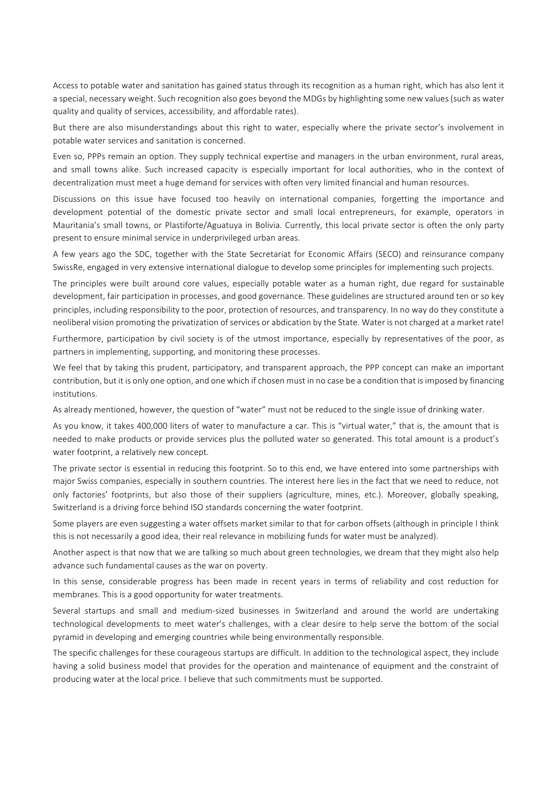Access to potable water and sanitation has gained status through its recognition as a human right, which has also lent it a special, necessary weight. Such recognition also goes beyond the MDGs by highlighting some new values (such as water quality and quality of services, accessibility, and affordable rates).

But there are also misunderstandings about this right to water, especially where the private sector's involvement in potable water services and sanitation is concerned.

Even so, PPPs remain an option. They supply technical expertise and managers in the urban environment, rural areas, and small towns alike. Such increased capacity is especially important for local authorities, who in the context of decentralization must meet a huge demand for services with often very limited financial and human resources.

Discussions on this issue have focused too heavily on international companies, forgetting the importance and development potential of the domestic private sector and small local entrepreneurs, for example, operators in Mauritania's small towns, or Plastiforte/Aguatuya in Bolivia. Currently, this local private sector is often the only party present to ensure minimal service in underprivileged urban areas.

A few years ago the SDC, together with the State Secretariat for Economic Affairs (SECO) and reinsurance company SwissRe, engaged in very extensive international dialogue to develop some principles for implementing such projects.

The principles were built around core values, especially potable water as a human right, due regard for sustainable development, fair participation in processes, and good governance. These guidelines are structured around ten or so key principles, including responsibility to the poor, protection of resources, and transparency. In no way do they constitute a neoliberal vision promoting the privatization of services or abdication by the State. Water is not charged at a market rate!

Furthermore, participation by civil society is of the utmost importance, especially by representatives of the poor, as partners in implementing, supporting, and monitoring these processes.

We feel that by taking this prudent, participatory, and transparent approach, the PPP concept can make an important contribution, but it is only one option, and one which if chosen must in no case be a condition that is imposed by financing institutions. 

As already mentioned, however, the question of "water" must not be reduced to the single issue of drinking water.

As you know, it takes 400,000 liters of water to manufacture a car. This is "virtual water," that is, the amount that is needed to make products or provide services plus the polluted water so generated. This total amount is a product's water footprint, a relatively new concept.

The private sector is essential in reducing this footprint. So to this end, we have entered into some partnerships with major Swiss companies, especially in southern countries. The interest here lies in the fact that we need to reduce, not only factories' footprints, but also those of their suppliers (agriculture, mines, etc.). Moreover, globally speaking, Switzerland is a driving force behind ISO standards concerning the water footprint.

Some players are even suggesting a water offsets market similar to that for carbon offsets (although in principle I think this is not necessarily a good idea, their real relevance in mobilizing funds for water must be analyzed).

Another aspect is that now that we are talking so much about green technologies, we dream that they might also help advance such fundamental causes as the war on poverty.

In this sense, considerable progress has been made in recent years in terms of reliability and cost reduction for membranes. This is a good opportunity for water treatments.

Several startups and small and medium-sized businesses in Switzerland and around the world are undertaking technological developments to meet water's challenges, with a clear desire to help serve the bottom of the social pyramid in developing and emerging countries while being environmentally responsible.

The specific challenges for these courageous startups are difficult. In addition to the technological aspect, they include having a solid business model that provides for the operation and maintenance of equipment and the constraint of producing water at the local price. I believe that such commitments must be supported.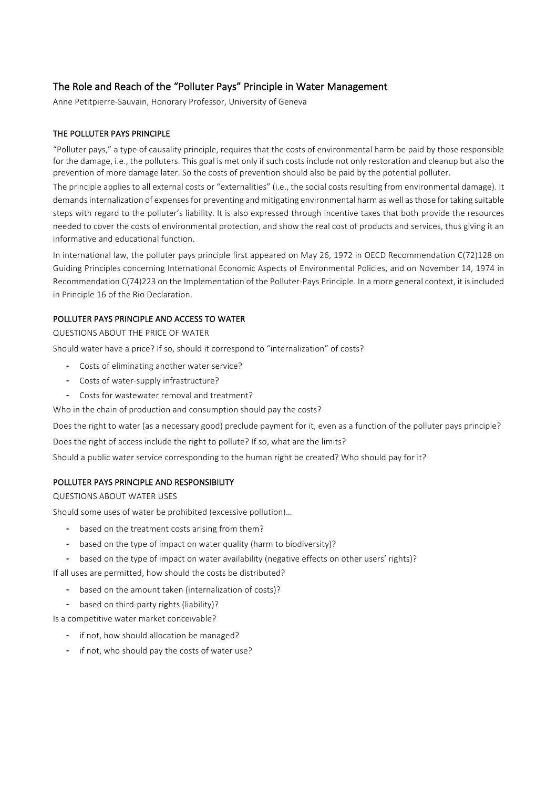## The Role and Reach of the "Polluter Pays" Principle in Water Management

Anne Petitpierre-Sauvain, Honorary Professor, University of Geneva

## THE POLLUTER PAYS PRINCIPLE

"Polluter pays," a type of causality principle, requires that the costs of environmental harm be paid by those responsible for the damage, i.e., the polluters. This goal is met only if such costs include not only restoration and cleanup but also the prevention of more damage later. So the costs of prevention should also be paid by the potential polluter.

The principle applies to all external costs or "externalities" (i.e., the social costs resulting from environmental damage). It demands internalization of expenses for preventing and mitigating environmental harm as well as those for taking suitable steps with regard to the polluter's liability. It is also expressed through incentive taxes that both provide the resources needed to cover the costs of environmental protection, and show the real cost of products and services, thus giving it an informative and educational function.

In international law, the polluter pays principle first appeared on May 26, 1972 in OECD Recommendation C(72)128 on Guiding Principles concerning International Economic Aspects of Environmental Policies, and on November 14, 1974 in Recommendation C(74)223 on the Implementation of the Polluter-Pays Principle. In a more general context, it is included in Principle 16 of the Rio Declaration.

## POLLUTER PAYS PRINCIPLE AND ACCESS TO WATER

QUESTIONS ABOUT THE PRICE OF WATER

Should water have a price? If so, should it correspond to "internalization" of costs?

- Costs of eliminating another water service?
- Costs of water-supply infrastructure?
- Costs for wastewater removal and treatment?

Who in the chain of production and consumption should pay the costs?

Does the right to water (as a necessary good) preclude payment for it, even as a function of the polluter pays principle?

Does the right of access include the right to pollute? If so, what are the limits?

Should a public water service corresponding to the human right be created? Who should pay for it?

#### POLLUTER PAYS PRINCIPLE AND RESPONSIBILITY

**QUESTIONS ABOUT WATER USES** 

Should some uses of water be prohibited (excessive pollution)...

- based on the treatment costs arising from them?
- based on the type of impact on water quality (harm to biodiversity)?
- based on the type of impact on water availability (negative effects on other users' rights)?

If all uses are permitted, how should the costs be distributed?

based on the amount taken (internalization of costs)?

- based on third-party rights (liability)?

Is a competitive water market conceivable?

- if not, how should allocation be managed?
- if not, who should pay the costs of water use?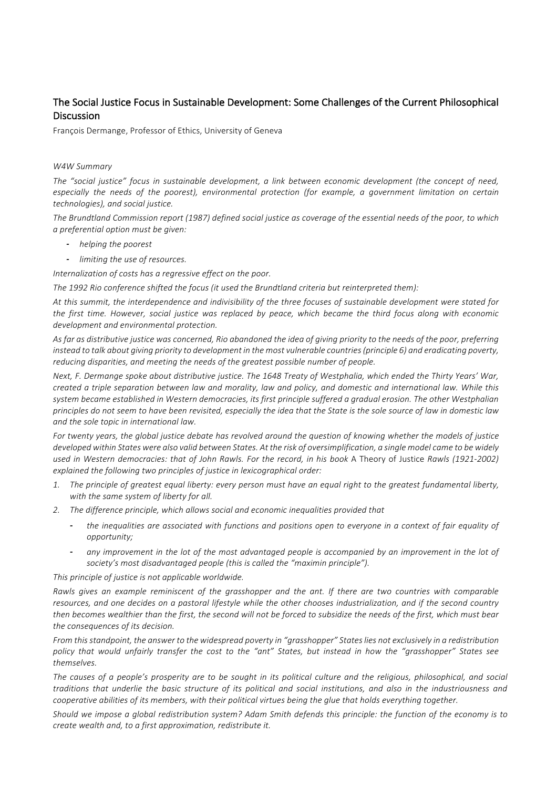## The Social Justice Focus in Sustainable Development: Some Challenges of the Current Philosophical Discussion

François Dermange, Professor of Ethics, University of Geneva

#### *W4W Summary*

The "social justice" focus in sustainable development, a link between economic development (the concept of need, especially the needs of the poorest), environmental protection (for example, a government limitation on certain *technologies), and social justice.*

The Brundtland Commission report (1987) defined social justice as coverage of the essential needs of the poor, to which *a preferential option must be given:*

- *- helping the poorest*
- *- limiting the use of resources.*

*Internalization of costs has a rearessive effect on the poor.* 

The 1992 Rio conference shifted the focus (it used the Brundtland criteria but reinterpreted them):

At this summit, the interdependence and indivisibility of the three focuses of sustainable development were stated for the first time. However, social justice was replaced by peace, which became the third focus along with economic *development and environmental protection.*

As far as distributive justice was concerned, Rio abandoned the idea of giving priority to the needs of the poor, preferring *instead to talk about giving priority to development in the most vulnerable countries (principle 6) and eradicating poverty,* reducing disparities, and meeting the needs of the greatest possible number of people.

Next, F. Dermange spoke about distributive justice. The 1648 Treaty of Westphalia, which ended the Thirty Years' War, *created a triple separation between law and morality, law and policy, and domestic and international law. While this* system became established in Western democracies, its first principle suffered a gradual erosion. The other Westphalian principles do not seem to have been revisited, especially the idea that the State is the sole source of law in domestic law *and the sole topic in international law.*

For twenty years, the global justice debate has revolved around the question of knowing whether the models of justice developed within States were also valid between States. At the risk of oversimplification, a single model came to be widely used in Western democracies: that of John Rawls. For the record, in his book A Theory of Justice Rawls (1921-2002) explained the following two principles of justice in lexicographical order:

- 1. The principle of greatest equal liberty: every person must have an equal right to the greatest fundamental liberty, with the same system of liberty for all.
- 2. The difference principle, which allows social and economic inequalities provided that
	- the inequalities are associated with functions and positions open to everyone in a context of fair equality of *opportunity;*
	- any improvement in the lot of the most advantaged people is accompanied by an improvement in the lot of society's most disadvantaged people (this is called the "maximin principle").

This principle of justice is not applicable worldwide.

Rawls gives an example reminiscent of the grasshopper and the ant. If there are two countries with comparable resources, and one decides on a pastoral lifestyle while the other chooses industrialization, and if the second country then becomes wealthier than the first, the second will not be forced to subsidize the needs of the first, which must bear the consequences of its decision.

*From* this standpoint, the answer to the widespread poverty in "grasshopper" States lies not exclusively in a redistribution policy that would unfairly transfer the cost to the "ant" States, but instead in how the "grasshopper" States see *themselves.*

The causes of a people's prosperity are to be sought in its political culture and the religious, philosophical, and social traditions that underlie the basic structure of its political and social institutions, and also in the industriousness and *cooperative abilities of its members, with their political virtues being the glue that holds everything together.* 

*Should* we impose a global redistribution system? Adam Smith defends this principle: the function of the economy is to *create* wealth and, to a first approximation, redistribute it.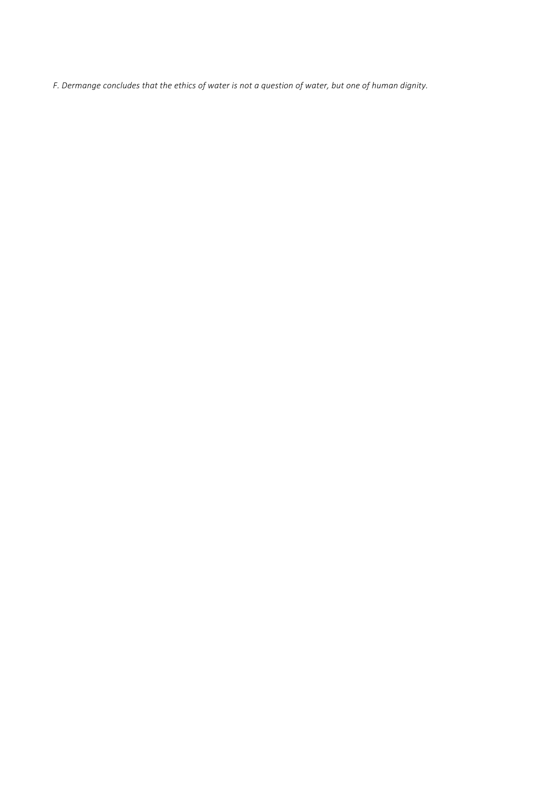F. Dermange concludes that the ethics of water is not a question of water, but one of human dignity.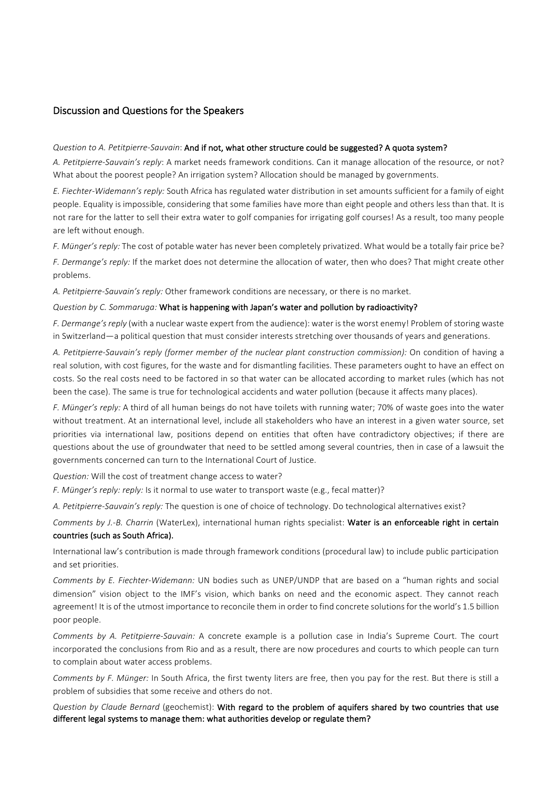## Discussion and Questions for the Speakers

#### *Question to A. Petitpierre-Sauvain*: And if not, what other structure could be suggested? A quota system?

A. Petitpierre-Sauvain's reply: A market needs framework conditions. Can it manage allocation of the resource, or not? What about the poorest people? An irrigation system? Allocation should be managed by governments.

*E.* Fiechter-Widemann's reply: South Africa has regulated water distribution in set amounts sufficient for a family of eight people. Equality is impossible, considering that some families have more than eight people and others less than that. It is not rare for the latter to sell their extra water to golf companies for irrigating golf courses! As a result, too many people are left without enough.

*F. Münger's reply:* The cost of potable water has never been completely privatized. What would be a totally fair price be?

*F.* Dermange's reply: If the market does not determine the allocation of water, then who does? That might create other problems.

*A. Petitpierre-Sauvain's reply:* Other framework conditions are necessary, or there is no market.

#### *Question by C. Sommaruga:* What is happening with Japan's water and pollution by radioactivity?

*F.* Dermange's reply (with a nuclear waste expert from the audience): water is the worst enemy! Problem of storing waste in Switzerland—a political question that must consider interests stretching over thousands of years and generations.

A. Petitpierre-Sauvain's reply (former member of the nuclear plant construction commission): On condition of having a real solution, with cost figures, for the waste and for dismantling facilities. These parameters ought to have an effect on costs. So the real costs need to be factored in so that water can be allocated according to market rules (which has not been the case). The same is true for technological accidents and water pollution (because it affects many places).

*F. Münger's reply:* A third of all human beings do not have toilets with running water: 70% of waste goes into the water without treatment. At an international level, include all stakeholders who have an interest in a given water source, set priorities via international law, positions depend on entities that often have contradictory objectives; if there are questions about the use of groundwater that need to be settled among several countries, then in case of a lawsuit the governments concerned can turn to the International Court of Justice.

*Question:* Will the cost of treatment change access to water?

*F. Münger's reply: reply:* Is it normal to use water to transport waste (e.g., fecal matter)?

A. Petitpierre-Sauvain's reply: The question is one of choice of technology. Do technological alternatives exist?

*Comments by J.-B. Charrin* (WaterLex), international human rights specialist: Water is an enforceable right in certain countries (such as South Africa).

International law's contribution is made through framework conditions (procedural law) to include public participation and set priorities.

*Comments by E. Fiechter-Widemann:* UN bodies such as UNEP/UNDP that are based on a "human rights and social dimension" vision object to the IMF's vision, which banks on need and the economic aspect. They cannot reach agreement! It is of the utmost importance to reconcile them in order to find concrete solutions for the world's 1.5 billion poor people.

*Comments by A. Petitpierre-Sauvain:* A concrete example is a pollution case in India's Supreme Court. The court incorporated the conclusions from Rio and as a result, there are now procedures and courts to which people can turn to complain about water access problems.

*Comments by F. Münger:* In South Africa, the first twenty liters are free, then you pay for the rest. But there is still a problem of subsidies that some receive and others do not.

*Question by Claude Bernard* (geochemist): With regard to the problem of aquifers shared by two countries that use different legal systems to manage them: what authorities develop or regulate them?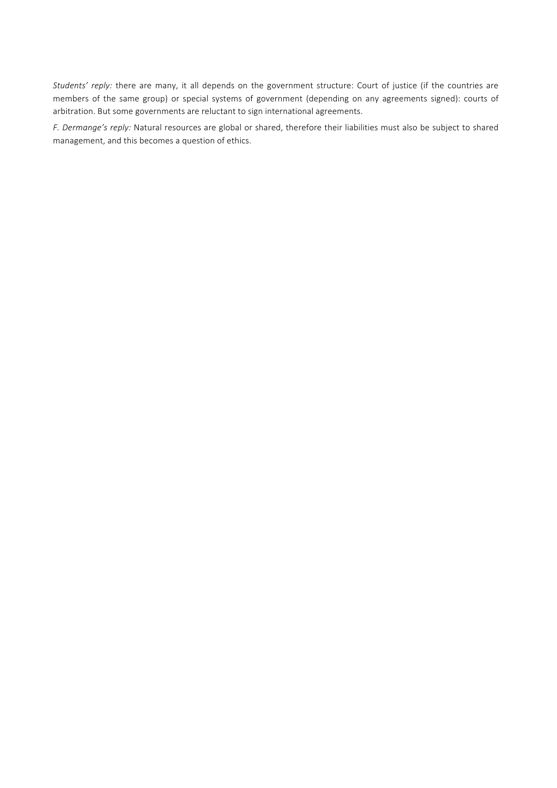Students' reply: there are many, it all depends on the government structure: Court of justice (if the countries are members of the same group) or special systems of government (depending on any agreements signed): courts of arbitration. But some governments are reluctant to sign international agreements.

*F. Dermange's reply:* Natural resources are global or shared, therefore their liabilities must also be subject to shared management, and this becomes a question of ethics.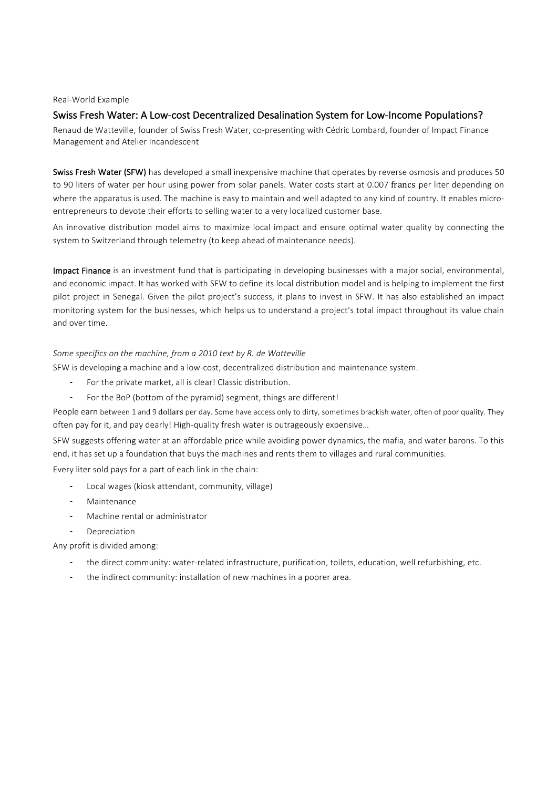#### Real-World Example

#### Swiss Fresh Water: A Low-cost Decentralized Desalination System for Low-Income Populations?

Renaud de Watteville, founder of Swiss Fresh Water, co-presenting with Cédric Lombard, founder of Impact Finance Management and Atelier Incandescent

Swiss Fresh Water (SFW) has developed a small inexpensive machine that operates by reverse osmosis and produces 50 to 90 liters of water per hour using power from solar panels. Water costs start at 0.007 francs per liter depending on where the apparatus is used. The machine is easy to maintain and well adapted to any kind of country. It enables microentrepreneurs to devote their efforts to selling water to a very localized customer base.

An innovative distribution model aims to maximize local impact and ensure optimal water quality by connecting the system to Switzerland through telemetry (to keep ahead of maintenance needs).

Impact Finance is an investment fund that is participating in developing businesses with a major social, environmental, and economic impact. It has worked with SFW to define its local distribution model and is helping to implement the first pilot project in Senegal. Given the pilot project's success, it plans to invest in SFW. It has also established an impact monitoring system for the businesses, which helps us to understand a project's total impact throughout its value chain and over time.

#### Some specifics on the machine, from a 2010 text by R. de Watteville

SFW is developing a machine and a low-cost, decentralized distribution and maintenance system.

- For the private market, all is clear! Classic distribution.
- For the BoP (bottom of the pyramid) segment, things are different!

People earn between 1 and 9 dollars per day. Some have access only to dirty, sometimes brackish water, often of poor quality. They often pay for it, and pay dearly! High-quality fresh water is outrageously expensive...

SFW suggests offering water at an affordable price while avoiding power dynamics, the mafia, and water barons. To this end, it has set up a foundation that buys the machines and rents them to villages and rural communities.

Every liter sold pays for a part of each link in the chain:

- Local wages (kiosk attendant, community, village)
- Maintenance
- Machine rental or administrator
- Depreciation

Any profit is divided among:

- the direct community: water-related infrastructure, purification, toilets, education, well refurbishing, etc.
- the indirect community: installation of new machines in a poorer area.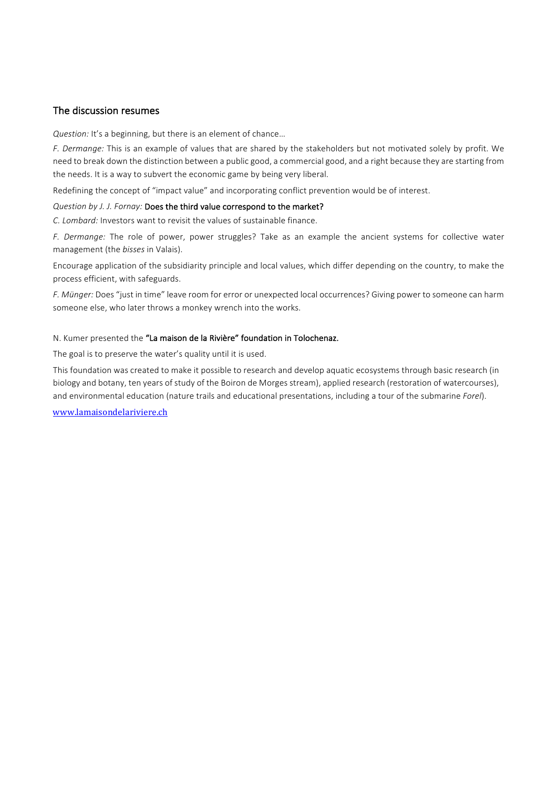## The discussion resumes

*Question:* It's a beginning, but there is an element of chance...

F. Dermange: This is an example of values that are shared by the stakeholders but not motivated solely by profit. We need to break down the distinction between a public good, a commercial good, and a right because they are starting from the needs. It is a way to subvert the economic game by being very liberal.

Redefining the concept of "impact value" and incorporating conflict prevention would be of interest.

#### *Question by J. J. Fornay:* Does the third value correspond to the market?

*C. Lombard:* Investors want to revisit the values of sustainable finance.

*F.* Dermange: The role of power, power struggles? Take as an example the ancient systems for collective water management (the *bisses* in Valais).

Encourage application of the subsidiarity principle and local values, which differ depending on the country, to make the process efficient, with safeguards.

*F. Münger:* Does "just in time" leave room for error or unexpected local occurrences? Giving power to someone can harm someone else, who later throws a monkey wrench into the works.

## N. Kumer presented the "La maison de la Rivière" foundation in Tolochenaz.

The goal is to preserve the water's quality until it is used.

This foundation was created to make it possible to research and develop aquatic ecosystems through basic research (in biology and botany, ten years of study of the Boiron de Morges stream), applied research (restoration of watercourses), and environmental education (nature trails and educational presentations, including a tour of the submarine *Forel*).

www.lamaisondelariviere.ch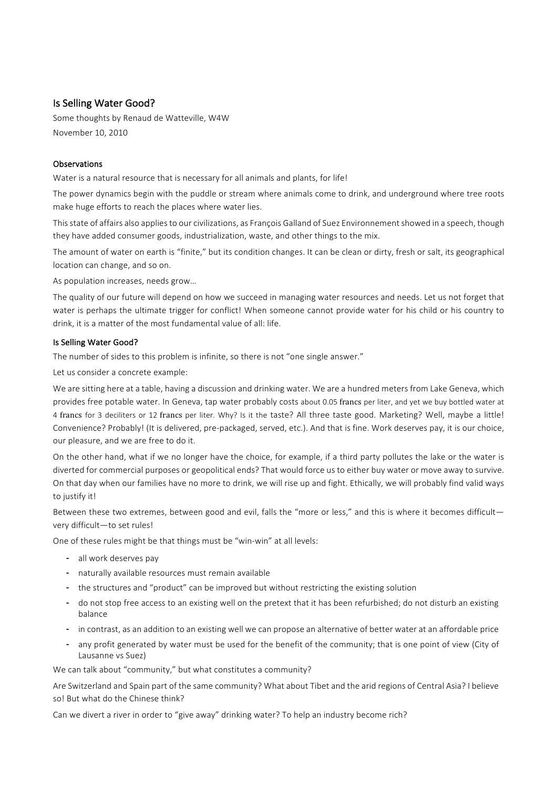## Is Selling Water Good?

Some thoughts by Renaud de Watteville, W4W November 10, 2010

### **Observations**

Water is a natural resource that is necessary for all animals and plants, for life!

The power dynamics begin with the puddle or stream where animals come to drink, and underground where tree roots make huge efforts to reach the places where water lies.

This state of affairs also applies to our civilizations, as Francois Galland of Suez Environnement showed in a speech, though they have added consumer goods, industrialization, waste, and other things to the mix.

The amount of water on earth is "finite," but its condition changes. It can be clean or dirty, fresh or salt, its geographical location can change, and so on.

As population increases, needs grow...

The quality of our future will depend on how we succeed in managing water resources and needs. Let us not forget that water is perhaps the ultimate trigger for conflict! When someone cannot provide water for his child or his country to drink, it is a matter of the most fundamental value of all: life.

#### Is Selling Water Good?

The number of sides to this problem is infinite, so there is not "one single answer."

Let us consider a concrete example:

We are sitting here at a table, having a discussion and drinking water. We are a hundred meters from Lake Geneva, which provides free potable water. In Geneva, tap water probably costs about 0.05 francs per liter, and yet we buy bottled water at 4 francs for 3 deciliters or 12 francs per liter. Why? Is it the taste? All three taste good. Marketing? Well, maybe a little! Convenience? Probably! (It is delivered, pre-packaged, served, etc.). And that is fine. Work deserves pay, it is our choice, our pleasure, and we are free to do it.

On the other hand, what if we no longer have the choice, for example, if a third party pollutes the lake or the water is diverted for commercial purposes or geopolitical ends? That would force us to either buy water or move away to survive. On that day when our families have no more to drink, we will rise up and fight. Ethically, we will probably find valid ways to justify it!

Between these two extremes, between good and evil, falls the "more or less," and this is where it becomes difficultvery difficult-to set rules!

One of these rules might be that things must be "win-win" at all levels:

- all work deserves pay
- naturally available resources must remain available
- the structures and "product" can be improved but without restricting the existing solution
- do not stop free access to an existing well on the pretext that it has been refurbished; do not disturb an existing balance
- in contrast, as an addition to an existing well we can propose an alternative of better water at an affordable price
- any profit generated by water must be used for the benefit of the community; that is one point of view (City of Lausanne vs Suez)

We can talk about "community," but what constitutes a community?

Are Switzerland and Spain part of the same community? What about Tibet and the arid regions of Central Asia? I believe so! But what do the Chinese think?

Can we divert a river in order to "give away" drinking water? To help an industry become rich?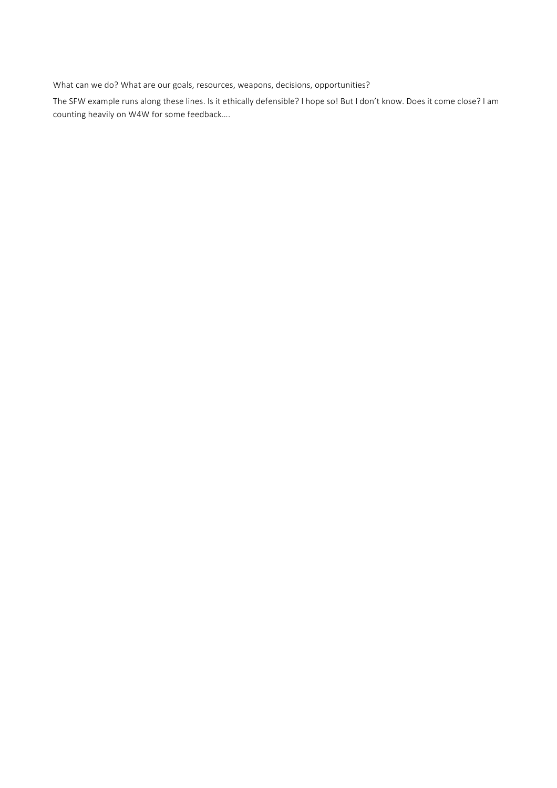What can we do? What are our goals, resources, weapons, decisions, opportunities?

The SFW example runs along these lines. Is it ethically defensible? I hope so! But I don't know. Does it come close? I am counting heavily on W4W for some feedback....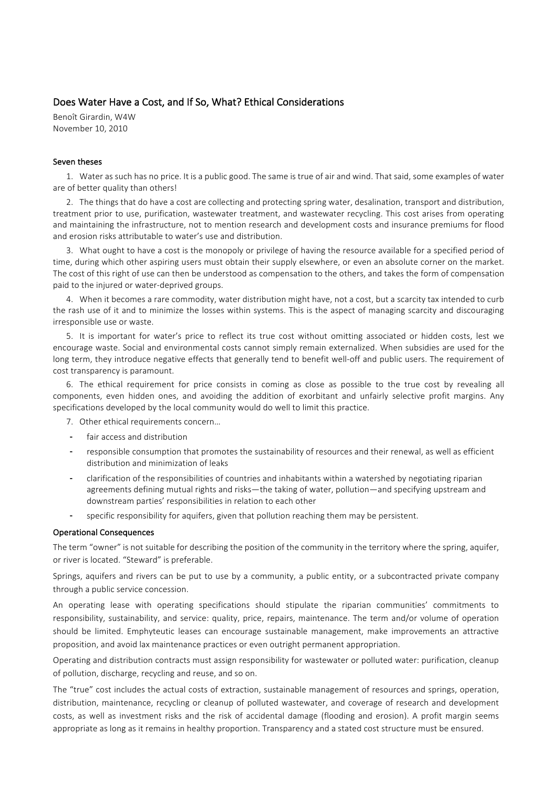## Does Water Have a Cost, and If So, What? Ethical Considerations

Benoît Girardin, W4W November 10, 2010

#### Seven theses

1. Water as such has no price. It is a public good. The same is true of air and wind. That said, some examples of water are of better quality than others!

2. The things that do have a cost are collecting and protecting spring water, desalination, transport and distribution, treatment prior to use, purification, wastewater treatment, and wastewater recycling. This cost arises from operating and maintaining the infrastructure, not to mention research and development costs and insurance premiums for flood and erosion risks attributable to water's use and distribution.

3. What ought to have a cost is the monopoly or privilege of having the resource available for a specified period of time, during which other aspiring users must obtain their supply elsewhere, or even an absolute corner on the market. The cost of this right of use can then be understood as compensation to the others, and takes the form of compensation paid to the injured or water-deprived groups.

4. When it becomes a rare commodity, water distribution might have, not a cost, but a scarcity tax intended to curb the rash use of it and to minimize the losses within systems. This is the aspect of managing scarcity and discouraging irresponsible use or waste.

5. It is important for water's price to reflect its true cost without omitting associated or hidden costs, lest we encourage waste. Social and environmental costs cannot simply remain externalized. When subsidies are used for the long term, they introduce negative effects that generally tend to benefit well-off and public users. The requirement of cost transparency is paramount.

6. The ethical requirement for price consists in coming as close as possible to the true cost by revealing all components, even hidden ones, and avoiding the addition of exorbitant and unfairly selective profit margins. Any specifications developed by the local community would do well to limit this practice.

- 7. Other ethical requirements concern...
- fair access and distribution
- responsible consumption that promotes the sustainability of resources and their renewal, as well as efficient distribution and minimization of leaks
- clarification of the responsibilities of countries and inhabitants within a watershed by negotiating riparian agreements defining mutual rights and risks—the taking of water, pollution—and specifying upstream and downstream parties' responsibilities in relation to each other
- specific responsibility for aquifers, given that pollution reaching them may be persistent.

#### Operational Consequences

The term "owner" is not suitable for describing the position of the community in the territory where the spring, aquifer, or river is located. "Steward" is preferable.

Springs, aquifers and rivers can be put to use by a community, a public entity, or a subcontracted private company through a public service concession.

An operating lease with operating specifications should stipulate the riparian communities' commitments to responsibility, sustainability, and service: quality, price, repairs, maintenance. The term and/or volume of operation should be limited. Emphyteutic leases can encourage sustainable management, make improvements an attractive proposition, and avoid lax maintenance practices or even outright permanent appropriation.

Operating and distribution contracts must assign responsibility for wastewater or polluted water: purification, cleanup of pollution, discharge, recycling and reuse, and so on.

The "true" cost includes the actual costs of extraction, sustainable management of resources and springs, operation, distribution, maintenance, recycling or cleanup of polluted wastewater, and coverage of research and development costs, as well as investment risks and the risk of accidental damage (flooding and erosion). A profit margin seems appropriate as long as it remains in healthy proportion. Transparency and a stated cost structure must be ensured.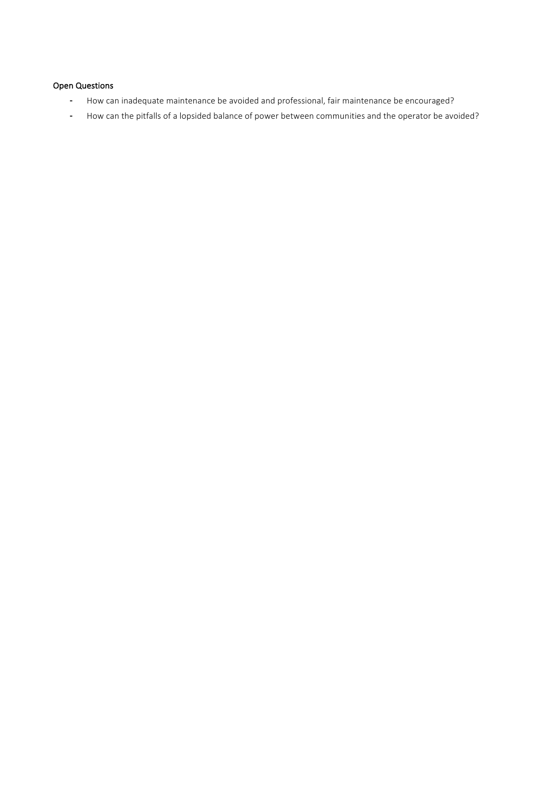## Open Questions

- How can inadequate maintenance be avoided and professional, fair maintenance be encouraged?
- How can the pitfalls of a lopsided balance of power between communities and the operator be avoided?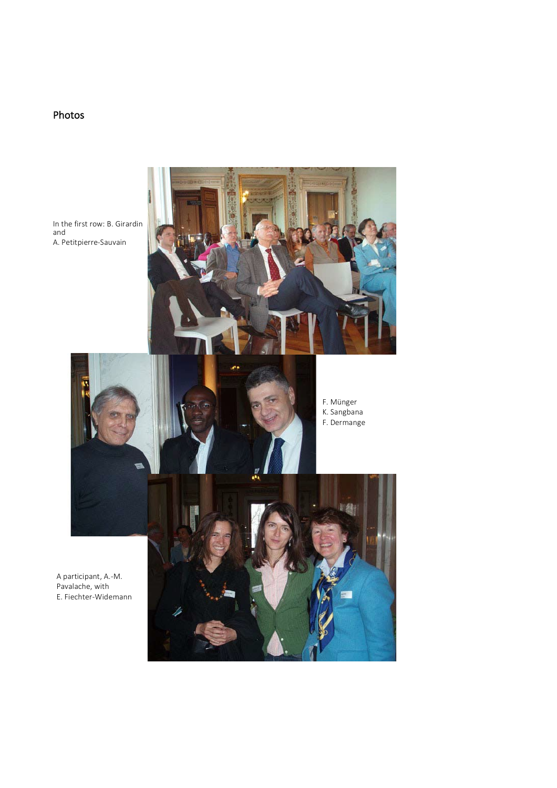## Photos

In the first row: B. Girardin and A. Petitpierre-Sauvain





F. Münger K. Sangbana F. Dermange

A participant, A.-M. Pavalache, with E. Fiechter-Widemann